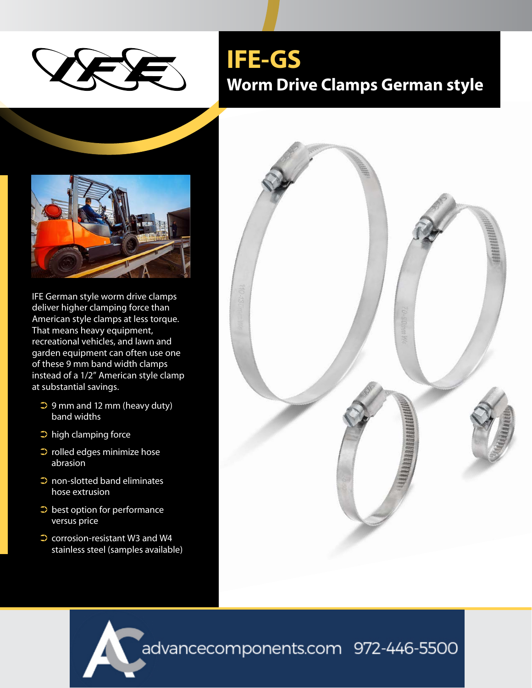

IFE German style worm drive clamps deliver higher clamping force than American style clamps at less torque. That means heavy equipment, recreational vehicles, and lawn and garden equipment can often use one of these 9 mm band width clamps instead of a 1/2" American style clamp at substantial savings.

- $\supset$  9 mm and 12 mm (heavy duty) band widths
- ➲ high clamping force
- ➲ rolled edges minimize hose abrasion
- $\supset$  non-slotted band eliminates hose extrusion
- $\supset$  best option for performance versus price
- ➲ corrosion-resistant W3 and W4 stainless steel (samples available)

## **IFE-GS Worm Drive Clamps German style**



advancecomponents.com 972-446-5500